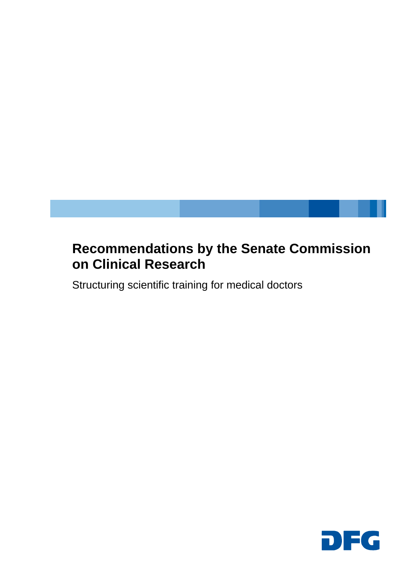## **Recommendations by the Senate Commission on Clinical Research**

Structuring scientific training for medical doctors

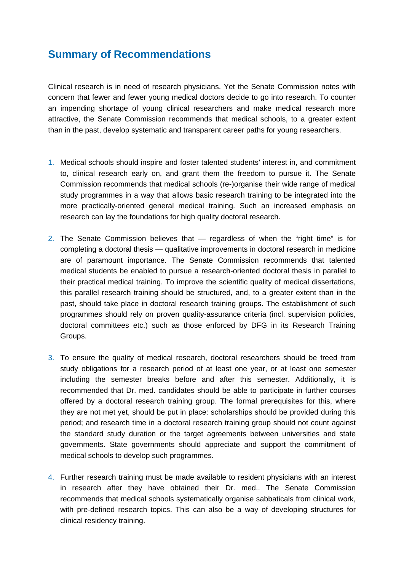## **Summary of Recommendations**

Clinical research is in need of research physicians. Yet the Senate Commission notes with concern that fewer and fewer young medical doctors decide to go into research. To counter an impending shortage of young clinical researchers and make medical research more attractive, the Senate Commission recommends that medical schools, to a greater extent than in the past, develop systematic and transparent career paths for young researchers.

- 1. Medical schools should inspire and foster talented students' interest in, and commitment to, clinical research early on, and grant them the freedom to pursue it. The Senate Commission recommends that medical schools (re-)organise their wide range of medical study programmes in a way that allows basic research training to be integrated into the more practically-oriented general medical training. Such an increased emphasis on research can lay the foundations for high quality doctoral research.
- 2. The Senate Commission believes that regardless of when the "right time" is for completing a doctoral thesis — qualitative improvements in doctoral research in medicine are of paramount importance. The Senate Commission recommends that talented medical students be enabled to pursue a research-oriented doctoral thesis in parallel to their practical medical training. To improve the scientific quality of medical dissertations, this parallel research training should be structured, and, to a greater extent than in the past, should take place in doctoral research training groups. The establishment of such programmes should rely on proven quality-assurance criteria (incl. supervision policies, doctoral committees etc.) such as those enforced by DFG in its Research Training Groups.
- 3. To ensure the quality of medical research, doctoral researchers should be freed from study obligations for a research period of at least one year, or at least one semester including the semester breaks before and after this semester. Additionally, it is recommended that Dr. med. candidates should be able to participate in further courses offered by a doctoral research training group. The formal prerequisites for this, where they are not met yet, should be put in place: scholarships should be provided during this period; and research time in a doctoral research training group should not count against the standard study duration or the target agreements between universities and state governments. State governments should appreciate and support the commitment of medical schools to develop such programmes.
- 4. Further research training must be made available to resident physicians with an interest in research after they have obtained their Dr. med.. The Senate Commission recommends that medical schools systematically organise sabbaticals from clinical work, with pre-defined research topics. This can also be a way of developing structures for clinical residency training.